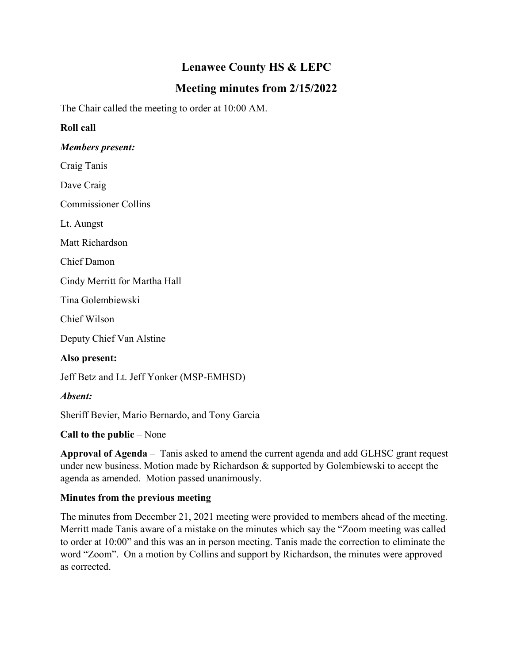# **Lenawee County HS & LEPC**

## **Meeting minutes from 2/15/2022**

The Chair called the meeting to order at 10:00 AM.

### **Roll call**

#### *Members present:*

Craig Tanis

Dave Craig

Commissioner Collins

Lt. Aungst

Matt Richardson

Chief Damon

Cindy Merritt for Martha Hall

Tina Golembiewski

Chief Wilson

Deputy Chief Van Alstine

#### **Also present:**

Jeff Betz and Lt. Jeff Yonker (MSP-EMHSD)

### *Absent:*

Sheriff Bevier, Mario Bernardo, and Tony Garcia

### **Call to the public** – None

**Approval of Agenda** – Tanis asked to amend the current agenda and add GLHSC grant request under new business. Motion made by Richardson & supported by Golembiewski to accept the agenda as amended. Motion passed unanimously.

### **Minutes from the previous meeting**

The minutes from December 21, 2021 meeting were provided to members ahead of the meeting. Merritt made Tanis aware of a mistake on the minutes which say the "Zoom meeting was called to order at 10:00" and this was an in person meeting. Tanis made the correction to eliminate the word "Zoom". On a motion by Collins and support by Richardson, the minutes were approved as corrected.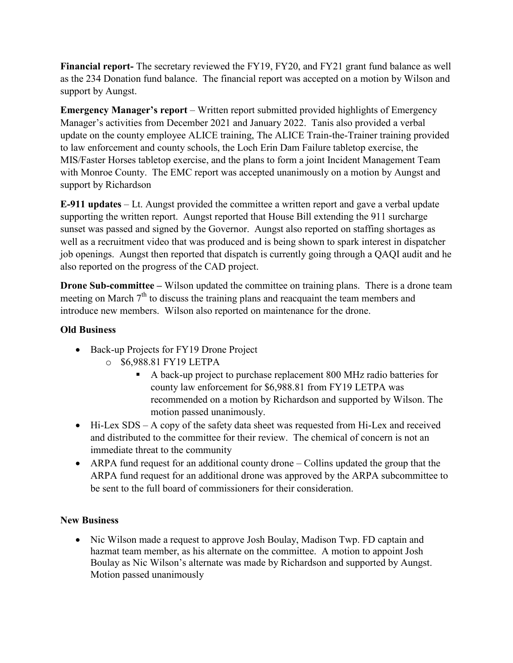**Financial report-** The secretary reviewed the FY19, FY20, and FY21 grant fund balance as well as the 234 Donation fund balance. The financial report was accepted on a motion by Wilson and support by Aungst.

**Emergency Manager's report** – Written report submitted provided highlights of Emergency Manager's activities from December 2021 and January 2022. Tanis also provided a verbal update on the county employee ALICE training, The ALICE Train-the-Trainer training provided to law enforcement and county schools, the Loch Erin Dam Failure tabletop exercise, the MIS/Faster Horses tabletop exercise, and the plans to form a joint Incident Management Team with Monroe County. The EMC report was accepted unanimously on a motion by Aungst and support by Richardson

**E-911 updates** – Lt. Aungst provided the committee a written report and gave a verbal update supporting the written report. Aungst reported that House Bill extending the 911 surcharge sunset was passed and signed by the Governor. Aungst also reported on staffing shortages as well as a recruitment video that was produced and is being shown to spark interest in dispatcher job openings. Aungst then reported that dispatch is currently going through a QAQI audit and he also reported on the progress of the CAD project.

**Drone Sub-committee** – Wilson updated the committee on training plans. There is a drone team meeting on March  $7<sup>th</sup>$  to discuss the training plans and reacquaint the team members and introduce new members. Wilson also reported on maintenance for the drone.

#### **Old Business**

- Back-up Projects for FY19 Drone Project
	- o \$6,988.81 FY19 LETPA
		- A back-up project to purchase replacement 800 MHz radio batteries for county law enforcement for \$6,988.81 from FY19 LETPA was recommended on a motion by Richardson and supported by Wilson. The motion passed unanimously.
- Hi-Lex SDS A copy of the safety data sheet was requested from Hi-Lex and received and distributed to the committee for their review. The chemical of concern is not an immediate threat to the community
- ARPA fund request for an additional county drone Collins updated the group that the ARPA fund request for an additional drone was approved by the ARPA subcommittee to be sent to the full board of commissioners for their consideration.

### **New Business**

• Nic Wilson made a request to approve Josh Boulay, Madison Twp. FD captain and hazmat team member, as his alternate on the committee. A motion to appoint Josh Boulay as Nic Wilson's alternate was made by Richardson and supported by Aungst. Motion passed unanimously